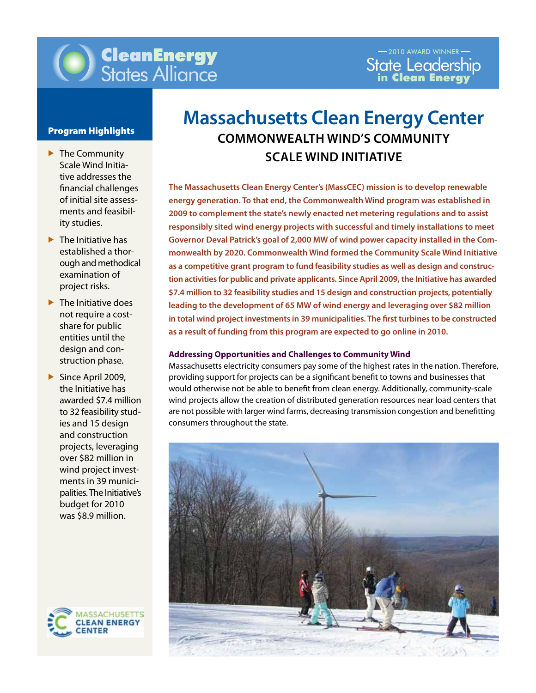

# **CleanEnergy**<br>States Alliance

### Program Highlights

- $\blacktriangleright$  The Community Scale Wind Initiative addresses the financial challenges of initial site assessments and feasibility studies.
- $\blacktriangleright$  The Initiative has established a thorough and methodical examination of project risks.
- $\blacktriangleright$  The Initiative does not require a costshare for public entities until the design and construction phase.
- Since April 2009, the Initiative has awarded \$7.4 million to 32 feasibility studies and 15 design and construction projects, leveraging over \$82 million in wind project investments in 39 municipalities.The Initiative's budget for 2010 was \$8.9 million.



## **Massachusetts Clean Energy Center Commonwealth Wind's Community Scale Wind Initiative**

\$7.4 million to 32 feasibility studies and 15 design and construction projects, potentially **The Massachusetts Clean Energy Center's (MassCEC) mission is to develop renewable energy generation. To that end, the Commonwealth Wind program was established in 2009 to complement the state's newly enacted net metering regulations and to assist responsibly sited wind energy projects with successful and timely installations to meet Governor Deval Patrick's goal of 2,000 MW of wind power capacity installed in the Commonwealth by 2020. Commonwealth Wind formed the Community Scale Wind Initiative as a competitive grant program to fund feasibility studies as well as design and construction activities for public and private applicants. Since April 2009, the Initiative has awarded leading to the development of 65 MW of wind energy and leveraging over \$82 million in total wind project investments in 39 municipalities. The first turbines to be constructed as a result of funding from this program are expected to go online in 2010.** 

#### **Addressing Opportunities and Challenges to Community Wind**

Massachusetts electricity consumers pay some of the highest rates in the nation. Therefore, providing support for projects can be a significant benefit to towns and businesses that would otherwise not be able to benefit from clean energy. Additionally, community-scale wind projects allow the creation of distributed generation resources near load centers that are not possible with larger wind farms, decreasing transmission congestion and benefitting consumers throughout the state.